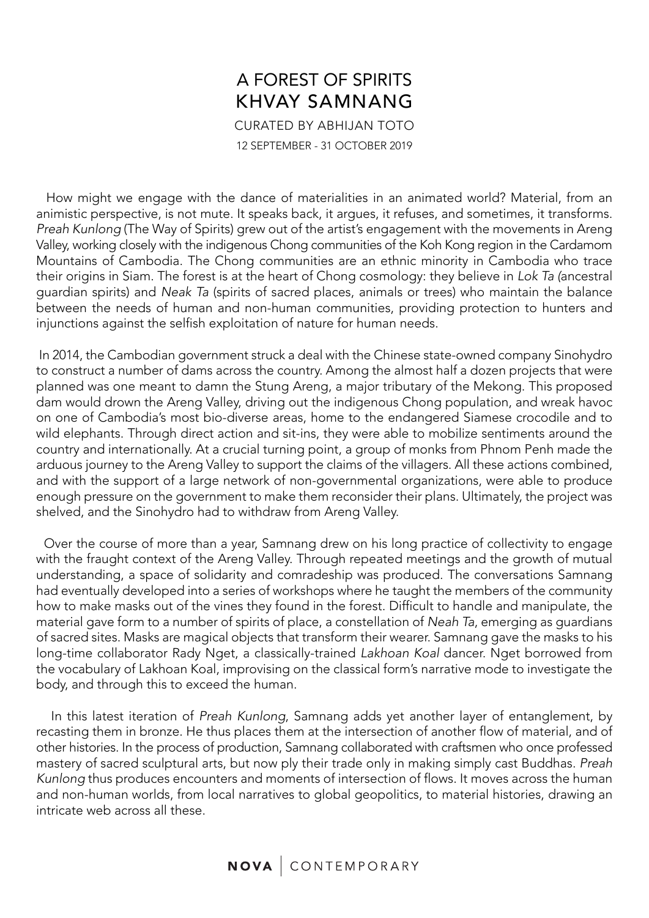## A FOREST OF SPIRITS KHVAY SAMNANG CURATED BY ABHIJAN TOTO 12 SEPTEMBER - 31 OCTOBER 2019

 How might we engage with the dance of materialities in an animated world? Material, from an animistic perspective, is not mute. It speaks back, it argues, it refuses, and sometimes, it transforms. *Preah Kunlong* (The Way of Spirits) grew out of the artist's engagement with the movements in Areng Valley, working closely with the indigenous Chong communities of the Koh Kong region in the Cardamom Mountains of Cambodia. The Chong communities are an ethnic minority in Cambodia who trace their origins in Siam. The forest is at the heart of Chong cosmology: they believe in *Lok Ta (*ancestral guardian spirits) and *Neak Ta* (spirits of sacred places, animals or trees) who maintain the balance between the needs of human and non-human communities, providing protection to hunters and injunctions against the selfish exploitation of nature for human needs.

 In 2014, the Cambodian government struck a deal with the Chinese state-owned company Sinohydro to construct a number of dams across the country. Among the almost half a dozen projects that were planned was one meant to damn the Stung Areng, a major tributary of the Mekong. This proposed dam would drown the Areng Valley, driving out the indigenous Chong population, and wreak havoc on one of Cambodia's most bio-diverse areas, home to the endangered Siamese crocodile and to wild elephants. Through direct action and sit-ins, they were able to mobilize sentiments around the country and internationally. At a crucial turning point, a group of monks from Phnom Penh made the arduous journey to the Areng Valley to support the claims of the villagers. All these actions combined, and with the support of a large network of non-governmental organizations, were able to produce enough pressure on the government to make them reconsider their plans. Ultimately, the project was shelved, and the Sinohydro had to withdraw from Areng Valley.

 Over the course of more than a year, Samnang drew on his long practice of collectivity to engage with the fraught context of the Areng Valley. Through repeated meetings and the growth of mutual understanding, a space of solidarity and comradeship was produced. The conversations Samnang had eventually developed into a series of workshops where he taught the members of the community how to make masks out of the vines they found in the forest. Difficult to handle and manipulate, the material gave form to a number of spirits of place, a constellation of *Neah Ta*, emerging as guardians of sacred sites. Masks are magical objects that transform their wearer. Samnang gave the masks to his long-time collaborator Rady Nget, a classically-trained *Lakhoan Koal* dancer. Nget borrowed from the vocabulary of Lakhoan Koal, improvising on the classical form's narrative mode to investigate the body, and through this to exceed the human.

 In this latest iteration of *Preah Kunlong*, Samnang adds yet another layer of entanglement, by recasting them in bronze. He thus places them at the intersection of another flow of material, and of other histories. In the process of production, Samnang collaborated with craftsmen who once professed mastery of sacred sculptural arts, but now ply their trade only in making simply cast Buddhas. *Preah Kunlong* thus produces encounters and moments of intersection of flows. It moves across the human and non-human worlds, from local narratives to global geopolitics, to material histories, drawing an intricate web across all these.